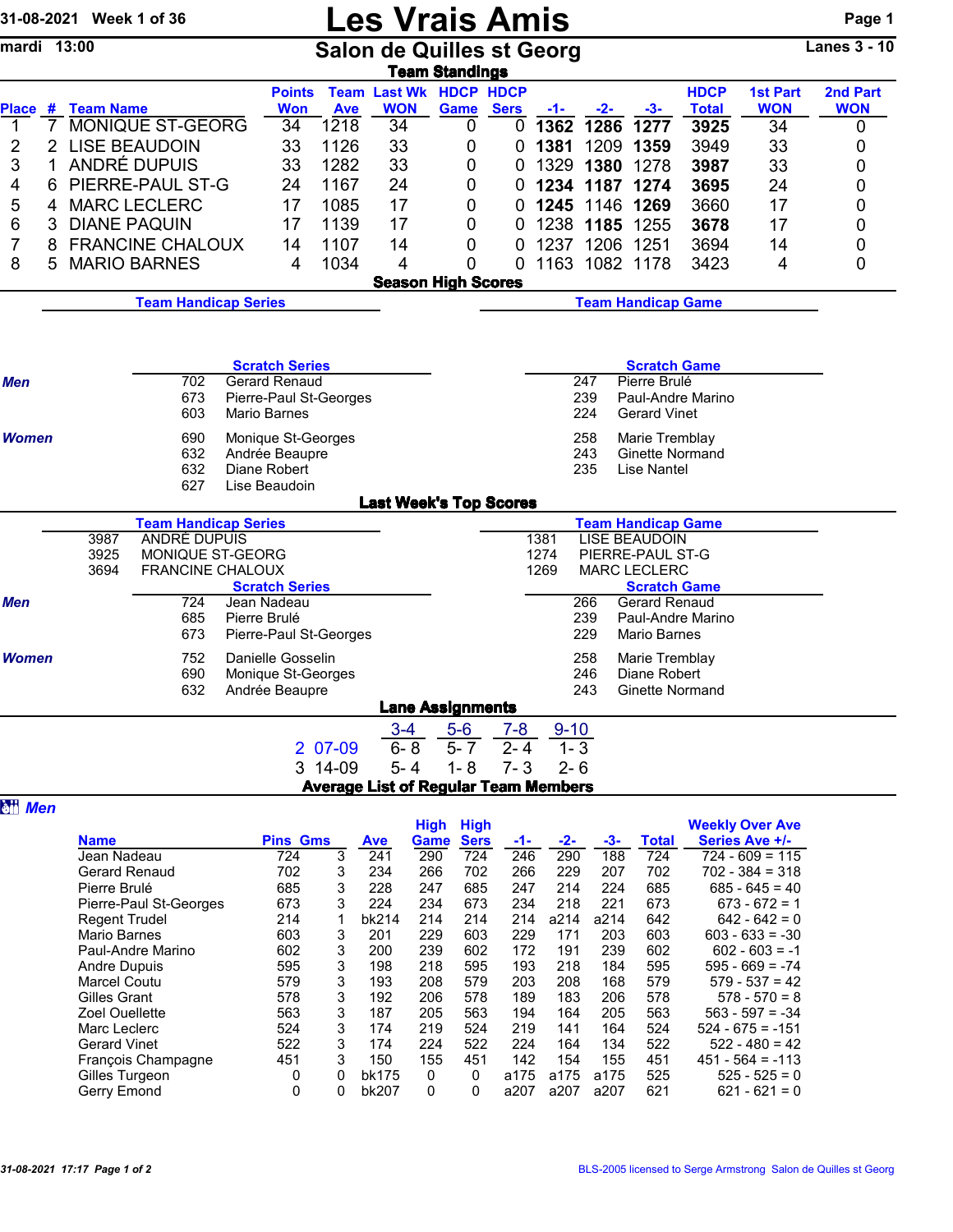|                |                | 31-08-2021 Week 1 of 36             |                                                    |              |                       |                        |                  | <b>Les Vrais Amis</b>                                  |                     |              |            |                                          |                      |                                        | Page 1              |
|----------------|----------------|-------------------------------------|----------------------------------------------------|--------------|-----------------------|------------------------|------------------|--------------------------------------------------------|---------------------|--------------|------------|------------------------------------------|----------------------|----------------------------------------|---------------------|
| mardi 13:00    |                |                                     |                                                    |              |                       |                        |                  | <b>Salon de Quilles st Georg</b>                       |                     |              |            |                                          |                      |                                        | <b>Lanes 3 - 10</b> |
|                |                |                                     |                                                    |              | <b>Points</b>         |                        |                  | <b>Team Standings</b><br><b>Team Last Wk HDCP HDCP</b> |                     |              |            |                                          | <b>HDCP</b>          | <b>1st Part</b>                        | 2nd Part            |
| 1              | $\overline{7}$ | Place # Team Name                   | MONIQUE ST-GEORG                                   |              | <b>Won</b><br>34      | <b>Ave</b><br>1218     | <b>WON</b><br>34 | Game<br>0                                              | <b>Sers</b><br>0    | $-1-$        | $-2-$      | $-3-$<br>1362 1286 1277                  | <b>Total</b><br>3925 | <b>WON</b><br>34                       | <b>WON</b><br>0     |
| 2              |                |                                     | 2 LISE BEAUDOIN                                    |              | 33                    | 1126                   | 33               | 0                                                      | 0                   | 1381         |            | 1209 1359                                | 3949                 | 33                                     | 0                   |
| 3              | 1              |                                     | ANDRÉ DUPUIS                                       |              | 33                    | 1282                   | 33               | 0                                                      | 0                   |              |            | 1329 1380 1278                           | 3987                 | 33                                     | 0                   |
| 4              | 6              |                                     | PIERRE-PAUL ST-G                                   |              | 24                    | 1167                   | 24               | 0                                                      | 0                   |              |            | 1234 1187 1274                           | 3695                 | 24                                     | 0                   |
| 5              | 4              |                                     | <b>MARC LECLERC</b>                                |              | 17                    | 1085                   | 17               | 0                                                      | 0                   |              |            | 1245 1146 1269                           | 3660                 | 17                                     | 0                   |
| 6              | 3              |                                     | <b>DIANE PAQUIN</b>                                |              | 17                    | 1139                   | 17               | 0                                                      | 0                   |              |            | 1238 1185 1255                           | 3678                 | 17                                     | 0                   |
| 7              | 8              |                                     | <b>FRANCINE CHALOUX</b>                            |              | 14                    | 1107                   | 14               | 0                                                      | 0                   |              |            | 1237 1206 1251                           | 3694                 | 14                                     | 0                   |
| 8              | 5              |                                     | <b>MARIO BARNES</b>                                |              | 4                     | 1034                   | 4                | 0                                                      | $\Omega$            |              |            | 1163 1082 1178                           | 3423                 | 4                                      | 0                   |
|                |                |                                     |                                                    |              |                       |                        |                  | <b>Season High Scores</b>                              |                     |              |            |                                          |                      |                                        |                     |
|                |                | <b>Team Handicap Series</b>         |                                                    |              |                       |                        |                  | <b>Team Handicap Game</b>                              |                     |              |            |                                          |                      |                                        |                     |
|                |                |                                     |                                                    |              |                       |                        |                  |                                                        |                     |              |            |                                          |                      |                                        |                     |
|                |                |                                     |                                                    |              | <b>Scratch Series</b> |                        |                  |                                                        |                     |              |            | <b>Scratch Game</b>                      |                      |                                        |                     |
| <b>Men</b>     |                |                                     | Gerard Renaud                                      |              |                       |                        |                  |                                                        | Pierre Brulé<br>247 |              |            |                                          |                      |                                        |                     |
|                |                |                                     | 673                                                |              |                       | Pierre-Paul St-Georges |                  |                                                        |                     |              | 239        |                                          | Paul-Andre Marino    |                                        |                     |
|                |                |                                     | 603                                                |              | <b>Mario Barnes</b>   |                        |                  |                                                        |                     |              | 224        | <b>Gerard Vinet</b>                      |                      |                                        |                     |
| <b>Women</b>   |                |                                     | 690<br>Monique St-Georges<br>632<br>Andrée Beaupre |              |                       |                        |                  |                                                        |                     |              | 258<br>243 | Marie Tremblay                           |                      |                                        |                     |
|                |                |                                     | 632                                                |              | Diane Robert          |                        |                  |                                                        |                     |              | 235        | Ginette Normand<br>Lise Nantel           |                      |                                        |                     |
|                |                |                                     | 627                                                |              | Lise Beaudoin         |                        |                  |                                                        |                     |              |            |                                          |                      |                                        |                     |
|                |                |                                     |                                                    |              |                       |                        |                  | <b>Last Week's Top Scores</b>                          |                     |              |            |                                          |                      |                                        |                     |
|                |                |                                     | <b>Team Handicap Series</b>                        |              |                       |                        |                  |                                                        |                     |              |            | <b>Team Handicap Game</b>                |                      |                                        |                     |
|                |                | 3987<br>3925                        | ANDRÉ DUPUIS<br>MONIQUE ST-GEORG                   |              |                       |                        |                  |                                                        |                     | 1381<br>1274 |            | <b>LISE BEAUDOIN</b><br>PIERRE-PAUL ST-G |                      |                                        |                     |
|                |                | 3694                                | <b>FRANCINE CHALOUX</b>                            |              |                       |                        |                  |                                                        |                     | 1269         |            | <b>MARC LECLERC</b>                      |                      |                                        |                     |
|                |                |                                     |                                                    |              | <b>Scratch Series</b> |                        |                  |                                                        |                     |              |            | <b>Scratch Game</b>                      |                      |                                        |                     |
| <b>Men</b>     |                |                                     | 724<br>685                                         | Pierre Brulé | Jean Nadeau           |                        |                  |                                                        |                     |              | 266<br>239 | <b>Gerard Renaud</b>                     | Paul-Andre Marino    |                                        |                     |
|                |                |                                     | 673                                                |              |                       | Pierre-Paul St-Georges |                  |                                                        |                     |              | 229        | <b>Mario Barnes</b>                      |                      |                                        |                     |
| <b>Women</b>   |                |                                     | 752                                                |              | Danielle Gosselin     |                        |                  |                                                        |                     |              | 258        | Marie Tremblay                           |                      |                                        |                     |
|                |                |                                     | 690                                                |              | Monique St-Georges    |                        |                  |                                                        |                     |              | 246        | Diane Robert                             |                      |                                        |                     |
|                |                |                                     | 632                                                |              | Andrée Beaupre        |                        |                  |                                                        |                     |              | 243        | Ginette Normand                          |                      |                                        |                     |
|                |                |                                     |                                                    |              |                       |                        |                  | <b>Lane Assignments</b>                                |                     |              |            |                                          |                      |                                        |                     |
|                |                |                                     |                                                    |              |                       |                        | $3 - 4$          | $5-6$                                                  | $7 - 8$             | $9 - 10$     |            |                                          |                      |                                        |                     |
|                |                |                                     |                                                    |              |                       | 2 07-09                | $6 - 8$          | $5 - 7$                                                | $2 - 4$             | $1 - 3$      |            |                                          |                      |                                        |                     |
|                |                |                                     |                                                    |              |                       | 3 14-09                | $5 - 4$          | $1 - 8$<br><b>Average List of Regular Team Members</b> | $7 - 3$             | $2 - 6$      |            |                                          |                      |                                        |                     |
| <b>Att Men</b> |                |                                     |                                                    |              |                       |                        |                  |                                                        |                     |              |            |                                          |                      |                                        |                     |
|                |                |                                     |                                                    |              |                       |                        |                  | <b>High High</b>                                       |                     |              |            |                                          |                      | <b>Weekly Over Ave</b>                 |                     |
|                |                | <b>Name</b>                         |                                                    |              | <b>Pins Gms</b>       |                        | Ave              | Game Sers                                              | -1-                 | -2-          | -3-        | <b>Total</b>                             |                      | Series Ave +/-                         |                     |
|                |                | Jean Nadeau<br><b>Gerard Renaud</b> |                                                    |              | 724<br>702            | $\overline{3}$<br>3    | 241<br>234       | 724<br>290<br>266<br>702                               | 246<br>266          | 290<br>229   | 188<br>207 | 724<br>702                               |                      | $724 - 609 = 115$<br>$702 - 384 = 318$ |                     |

| <b>Gerard Renaud</b>   | 702 | 3 | 234   | 266 | 702 | 266  | 229  | 207  | 702 | $702 - 384 = 318$  |
|------------------------|-----|---|-------|-----|-----|------|------|------|-----|--------------------|
| Pierre Brulé           | 685 | 3 | 228   | 247 | 685 | 247  | 214  | 224  | 685 | $685 - 645 = 40$   |
| Pierre-Paul St-Georges | 673 | 3 | 224   | 234 | 673 | 234  | 218  | 221  | 673 | $673 - 672 = 1$    |
| <b>Regent Trudel</b>   | 214 |   | bk214 | 214 | 214 | 214  | a214 | a214 | 642 | $642 - 642 = 0$    |
| Mario Barnes           | 603 | 3 | 201   | 229 | 603 | 229  | 171  | 203  | 603 | $603 - 633 = -30$  |
| Paul-Andre Marino      | 602 | 3 | 200   | 239 | 602 | 172  | 191  | 239  | 602 | $602 - 603 = -1$   |
| Andre Dupuis           | 595 | 3 | 198   | 218 | 595 | 193  | 218  | 184  | 595 | $595 - 669 = -74$  |
| <b>Marcel Coutu</b>    | 579 | 3 | 193   | 208 | 579 | 203  | 208  | 168  | 579 | $579 - 537 = 42$   |
| Gilles Grant           | 578 | 3 | 192   | 206 | 578 | 189  | 183  | 206  | 578 | $578 - 570 = 8$    |
| Zoel Ouellette         | 563 | 3 | 187   | 205 | 563 | 194  | 164  | 205  | 563 | $563 - 597 = -34$  |
| Marc Leclerc           | 524 | 3 | 174   | 219 | 524 | 219  | 141  | 164  | 524 | $524 - 675 = -151$ |
| <b>Gerard Vinet</b>    | 522 | 3 | 174   | 224 | 522 | 224  | 164  | 134  | 522 | $522 - 480 = 42$   |
| Francois Champagne     | 451 | 3 | 150   | 155 | 451 | 142  | 154  | 155  | 451 | $451 - 564 = -113$ |
| Gilles Turgeon         |     | 0 | bk175 | 0   | 0   | a175 | a175 | a175 | 525 | $525 - 525 = 0$    |
| Gerry Emond            | 0   | 0 | bk207 | 0   | 0   | a207 | a207 | a207 | 621 | $621 - 621 = 0$    |
|                        |     |   |       |     |     |      |      |      |     |                    |